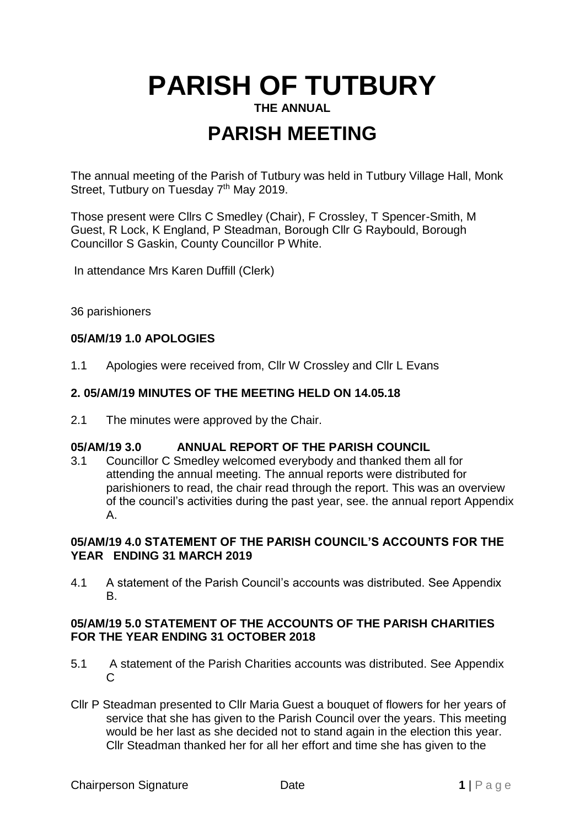# **PARISH OF TUTBURY**

**THE ANNUAL**

# **PARISH MEETING**

The annual meeting of the Parish of Tutbury was held in Tutbury Village Hall, Monk Street, Tutbury on Tuesday 7<sup>th</sup> May 2019.

Those present were Cllrs C Smedley (Chair), F Crossley, T Spencer-Smith, M Guest, R Lock, K England, P Steadman, Borough Cllr G Raybould, Borough Councillor S Gaskin, County Councillor P White.

In attendance Mrs Karen Duffill (Clerk)

36 parishioners

### **05/AM/19 1.0 APOLOGIES**

1.1 Apologies were received from, Cllr W Crossley and Cllr L Evans

## **2. 05/AM/19 MINUTES OF THE MEETING HELD ON 14.05.18**

2.1 The minutes were approved by the Chair.

# **05/AM/19 3.0 ANNUAL REPORT OF THE PARISH COUNCIL**

3.1 Councillor C Smedley welcomed everybody and thanked them all for attending the annual meeting. The annual reports were distributed for parishioners to read, the chair read through the report. This was an overview of the council's activities during the past year, see. the annual report Appendix A.

# **05/AM/19 4.0 STATEMENT OF THE PARISH COUNCIL'S ACCOUNTS FOR THE YEAR ENDING 31 MARCH 2019**

4.1 A statement of the Parish Council's accounts was distributed. See Appendix B.

# **05/AM/19 5.0 STATEMENT OF THE ACCOUNTS OF THE PARISH CHARITIES FOR THE YEAR ENDING 31 OCTOBER 2018**

- 5.1 A statement of the Parish Charities accounts was distributed. See Appendix  $\mathcal{C}$
- Cllr P Steadman presented to Cllr Maria Guest a bouquet of flowers for her years of service that she has given to the Parish Council over the years. This meeting would be her last as she decided not to stand again in the election this year. Cllr Steadman thanked her for all her effort and time she has given to the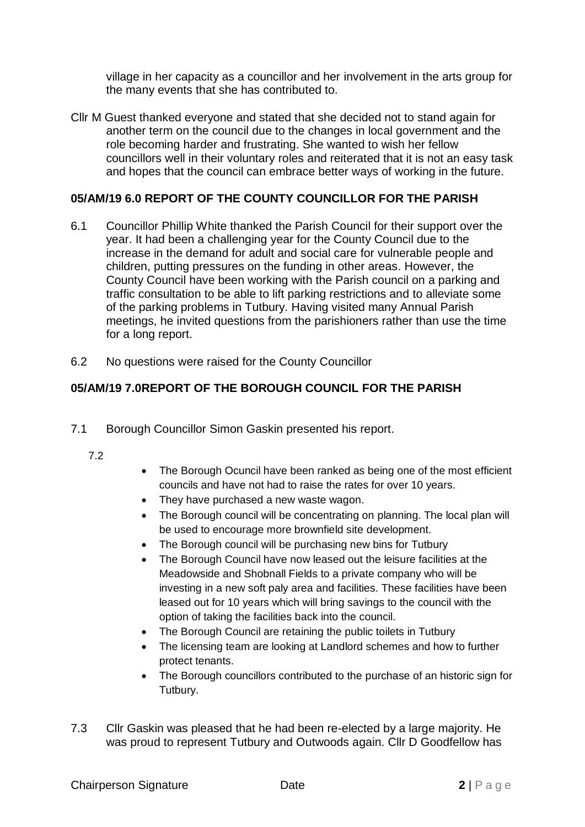village in her capacity as a councillor and her involvement in the arts group for the many events that she has contributed to.

Cllr M Guest thanked everyone and stated that she decided not to stand again for another term on the council due to the changes in local government and the role becoming harder and frustrating. She wanted to wish her fellow councillors well in their voluntary roles and reiterated that it is not an easy task and hopes that the council can embrace better ways of working in the future.

# **05/AM/19 6.0 REPORT OF THE COUNTY COUNCILLOR FOR THE PARISH**

- 6.1 Councillor Phillip White thanked the Parish Council for their support over the year. It had been a challenging year for the County Council due to the increase in the demand for adult and social care for vulnerable people and children, putting pressures on the funding in other areas. However, the County Council have been working with the Parish council on a parking and traffic consultation to be able to lift parking restrictions and to alleviate some of the parking problems in Tutbury. Having visited many Annual Parish meetings, he invited questions from the parishioners rather than use the time for a long report.
- 6.2 No questions were raised for the County Councillor

# **05/AM/19 7.0REPORT OF THE BOROUGH COUNCIL FOR THE PARISH**

- 7.1 Borough Councillor Simon Gaskin presented his report.
	- 7.2
- The Borough Ocuncil have been ranked as being one of the most efficient councils and have not had to raise the rates for over 10 years.
- They have purchased a new waste wagon.
- The Borough council will be concentrating on planning. The local plan will be used to encourage more brownfield site development.
- The Borough council will be purchasing new bins for Tutbury
- The Borough Council have now leased out the leisure facilities at the Meadowside and Shobnall Fields to a private company who will be investing in a new soft paly area and facilities. These facilities have been leased out for 10 years which will bring savings to the council with the option of taking the facilities back into the council.
- The Borough Council are retaining the public toilets in Tutbury
- The licensing team are looking at Landlord schemes and how to further protect tenants.
- The Borough councillors contributed to the purchase of an historic sign for Tutbury.
- 7.3 Cllr Gaskin was pleased that he had been re-elected by a large majority. He was proud to represent Tutbury and Outwoods again. Cllr D Goodfellow has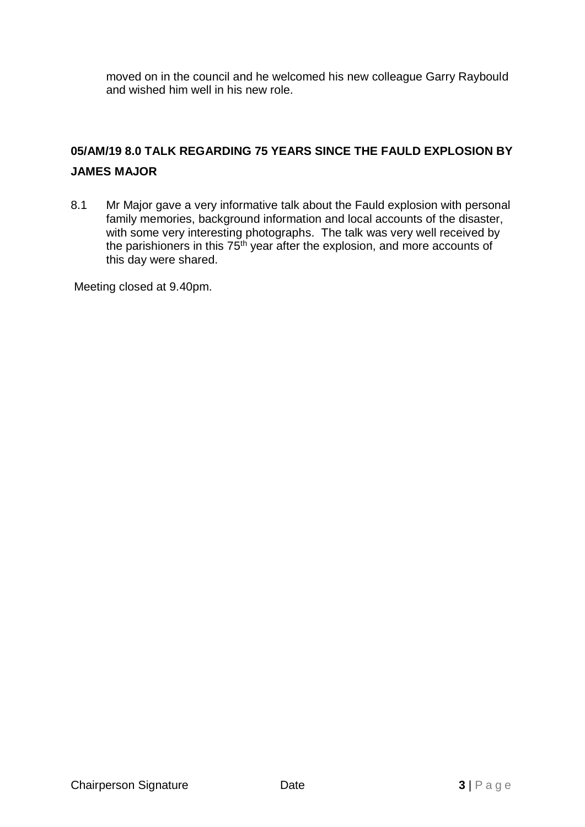moved on in the council and he welcomed his new colleague Garry Raybould and wished him well in his new role.

# **05/AM/19 8.0 TALK REGARDING 75 YEARS SINCE THE FAULD EXPLOSION BY JAMES MAJOR**

8.1 Mr Major gave a very informative talk about the Fauld explosion with personal family memories, background information and local accounts of the disaster, with some very interesting photographs. The talk was very well received by the parishioners in this 75<sup>th</sup> year after the explosion, and more accounts of this day were shared.

Meeting closed at 9.40pm.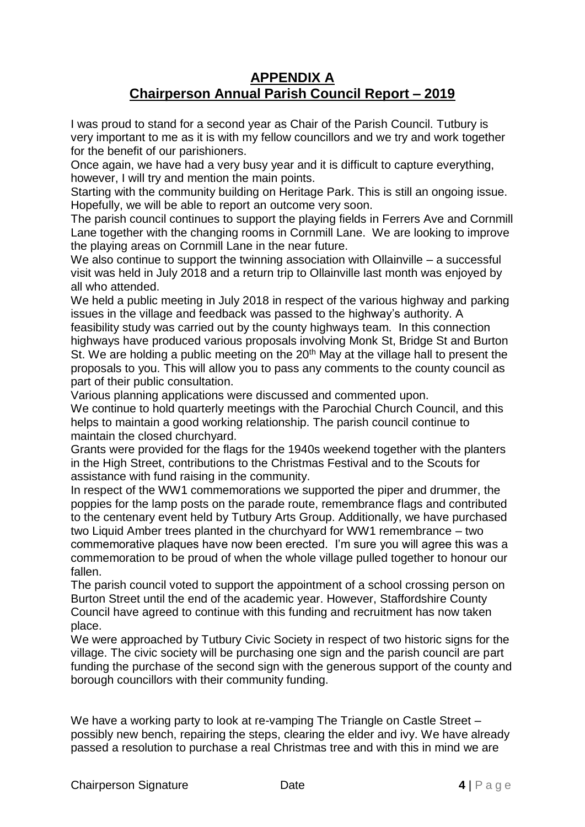# **APPENDIX A Chairperson Annual Parish Council Report – 2019**

I was proud to stand for a second year as Chair of the Parish Council. Tutbury is very important to me as it is with my fellow councillors and we try and work together for the benefit of our parishioners.

Once again, we have had a very busy year and it is difficult to capture everything, however, I will try and mention the main points.

Starting with the community building on Heritage Park. This is still an ongoing issue. Hopefully, we will be able to report an outcome very soon.

The parish council continues to support the playing fields in Ferrers Ave and Cornmill Lane together with the changing rooms in Cornmill Lane. We are looking to improve the playing areas on Cornmill Lane in the near future.

We also continue to support the twinning association with Ollainville – a successful visit was held in July 2018 and a return trip to Ollainville last month was enjoyed by all who attended.

We held a public meeting in July 2018 in respect of the various highway and parking issues in the village and feedback was passed to the highway's authority. A

feasibility study was carried out by the county highways team. In this connection highways have produced various proposals involving Monk St, Bridge St and Burton St. We are holding a public meeting on the  $20<sup>th</sup>$  May at the village hall to present the proposals to you. This will allow you to pass any comments to the county council as part of their public consultation.

Various planning applications were discussed and commented upon.

We continue to hold quarterly meetings with the Parochial Church Council, and this helps to maintain a good working relationship. The parish council continue to maintain the closed churchyard.

Grants were provided for the flags for the 1940s weekend together with the planters in the High Street, contributions to the Christmas Festival and to the Scouts for assistance with fund raising in the community.

In respect of the WW1 commemorations we supported the piper and drummer, the poppies for the lamp posts on the parade route, remembrance flags and contributed to the centenary event held by Tutbury Arts Group. Additionally, we have purchased two Liquid Amber trees planted in the churchyard for WW1 remembrance – two commemorative plaques have now been erected. I'm sure you will agree this was a commemoration to be proud of when the whole village pulled together to honour our fallen.

The parish council voted to support the appointment of a school crossing person on Burton Street until the end of the academic year. However, Staffordshire County Council have agreed to continue with this funding and recruitment has now taken place.

We were approached by Tutbury Civic Society in respect of two historic signs for the village. The civic society will be purchasing one sign and the parish council are part funding the purchase of the second sign with the generous support of the county and borough councillors with their community funding.

We have a working party to look at re-vamping The Triangle on Castle Street – possibly new bench, repairing the steps, clearing the elder and ivy. We have already passed a resolution to purchase a real Christmas tree and with this in mind we are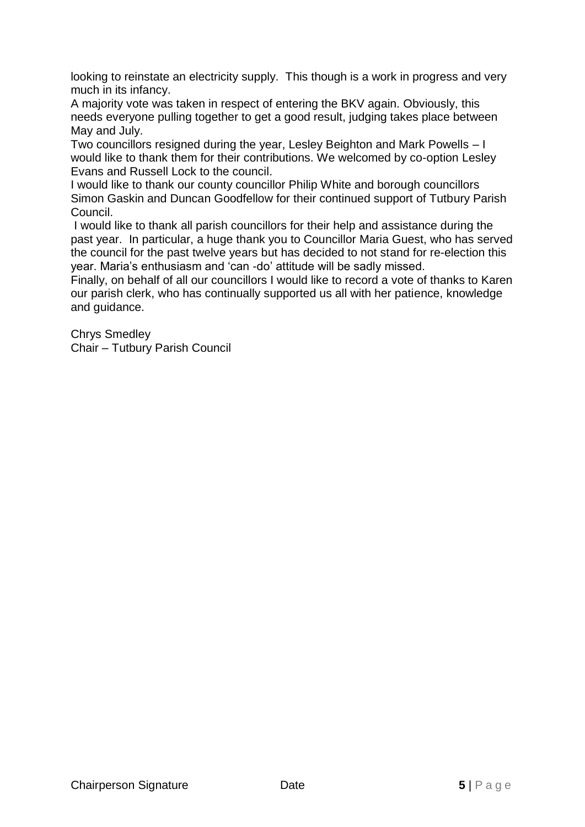looking to reinstate an electricity supply. This though is a work in progress and very much in its infancy.

A majority vote was taken in respect of entering the BKV again. Obviously, this needs everyone pulling together to get a good result, judging takes place between May and July.

Two councillors resigned during the year, Lesley Beighton and Mark Powells – I would like to thank them for their contributions. We welcomed by co-option Lesley Evans and Russell Lock to the council.

I would like to thank our county councillor Philip White and borough councillors Simon Gaskin and Duncan Goodfellow for their continued support of Tutbury Parish Council.

I would like to thank all parish councillors for their help and assistance during the past year. In particular, a huge thank you to Councillor Maria Guest, who has served the council for the past twelve years but has decided to not stand for re-election this year. Maria's enthusiasm and 'can -do' attitude will be sadly missed.

Finally, on behalf of all our councillors I would like to record a vote of thanks to Karen our parish clerk, who has continually supported us all with her patience, knowledge and guidance.

Chrys Smedley Chair – Tutbury Parish Council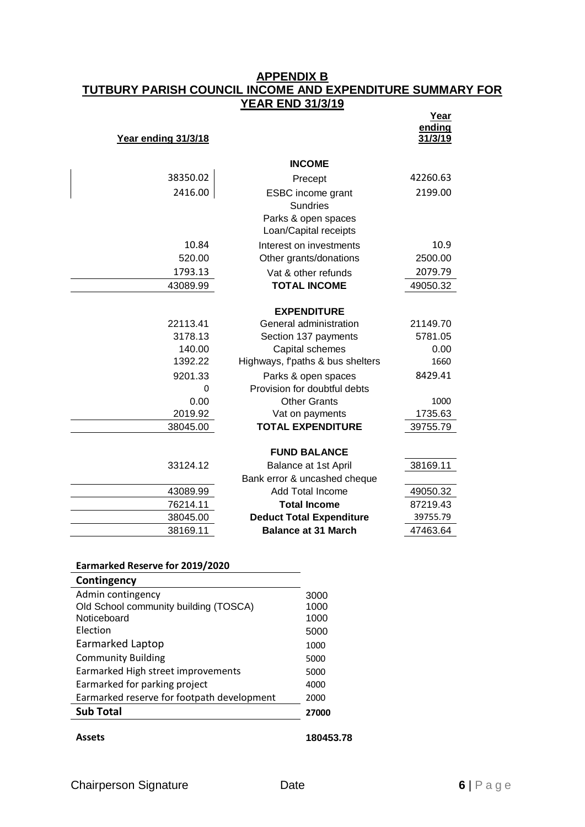#### **APPENDIX B TUTBURY PARISH COUNCIL INCOME AND EXPENDITURE SUMMARY FOR YEAR END 31/3/19**  $\mathbf{v}$

| Year ending 31/3/18 |                                              | Year<br>ending<br>31/3/19 |
|---------------------|----------------------------------------------|---------------------------|
|                     | <b>INCOME</b>                                |                           |
| 38350.02            | Precept                                      | 42260.63                  |
| 2416.00             | ESBC income grant<br><b>Sundries</b>         | 2199.00                   |
|                     | Parks & open spaces<br>Loan/Capital receipts |                           |
| 10.84               | Interest on investments                      | 10.9                      |
| 520.00              | Other grants/donations                       | 2500.00                   |
| 1793.13             | Vat & other refunds                          | 2079.79                   |
| 43089.99            | <b>TOTAL INCOME</b>                          | 49050.32                  |
|                     |                                              |                           |
| 22113.41            | <b>EXPENDITURE</b><br>General administration | 21149.70                  |
| 3178.13             | Section 137 payments                         | 5781.05                   |
| 140.00              | Capital schemes                              | 0.00                      |
| 1392.22             | Highways, f'paths & bus shelters             | 1660                      |
| 9201.33             | Parks & open spaces                          | 8429.41                   |
| 0                   | Provision for doubtful debts                 |                           |
| 0.00                | <b>Other Grants</b>                          | 1000                      |
| 2019.92             | Vat on payments                              | 1735.63                   |
| 38045.00            | <b>TOTAL EXPENDITURE</b>                     | 39755.79                  |
|                     |                                              |                           |
|                     | <b>FUND BALANCE</b>                          |                           |
| 33124.12            | Balance at 1st April                         | 38169.11                  |
|                     | Bank error & uncashed cheque                 |                           |
| 43089.99            | Add Total Income                             | 49050.32                  |
| 76214.11            | <b>Total Income</b>                          | 87219.43                  |
| 38045.00            | <b>Deduct Total Expenditure</b>              | 39755.79                  |
| 38169.11            | <b>Balance at 31 March</b>                   | 47463.64                  |

# **Earmarked Reserve for 2019/2020**

| Contingency                                |       |
|--------------------------------------------|-------|
| Admin contingency                          | 3000  |
| Old School community building (TOSCA)      | 1000  |
| Noticeboard                                | 1000  |
| <b>Election</b>                            | 5000  |
| Earmarked Laptop                           | 1000  |
| <b>Community Building</b>                  | 5000  |
| Earmarked High street improvements         | 5000  |
| Earmarked for parking project              | 4000  |
| Earmarked reserve for footpath development | 2000  |
| <b>Sub Total</b>                           | 27000 |
|                                            |       |

**Assets 180453.78**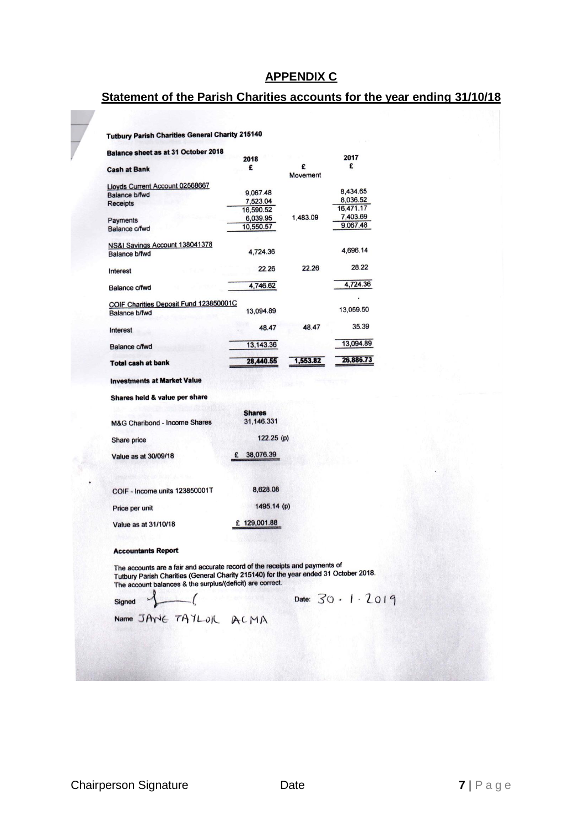# **APPENDIX C**

# **Statement of the Parish Charities accounts for the year ending 31/10/18**

#### **Tutbury Parish Charities General Charity 215140**

| Balance sheet as at 31 October 2018                            |                |               |           |
|----------------------------------------------------------------|----------------|---------------|-----------|
|                                                                | 2018           |               | 2017      |
| <b>Cash at Bank</b>                                            | £              | £<br>Movement | £         |
| Lloyds Current Account 02568667                                |                |               |           |
| Balance b/fwd                                                  | 9,067.48       |               | 8,434.65  |
| <b>Receipts</b>                                                | 7.523.04       |               | 8.036.52  |
|                                                                | 16,590.52      |               | 16,471.17 |
| Payments                                                       | 6,039.95       | 1,483.09      | 7,403.69  |
| Balance c/fwd                                                  | 10,550.57      |               | 9,067.48  |
| NS&I Savings Account 138041378                                 |                |               |           |
| <b>Balance b/fwd</b>                                           | 4,724.36       |               | 4,696.14  |
| Interest                                                       | 22.26          | 22.26         | 28.22     |
| Balance c/fwd                                                  | 4,746.62       |               | 4,724.36  |
|                                                                |                |               |           |
| COIF Charities Deposit Fund 123850001C<br><b>Balance b/fwd</b> | 13,094.89      |               | 13,059.50 |
| Interest                                                       | 48.47          | 48.47         | 35.39     |
| Balance c/fwd                                                  | 13,143.36      |               | 13,094.89 |
| <b>Total cash at bank</b>                                      | 28,440.55      | 1,553.82      | 26,886.73 |
| <b>Investments at Market Value</b>                             |                |               |           |
| Shares held & value per share                                  |                |               |           |
|                                                                | <b>Shares</b>  |               |           |
| <b>M&amp;G Charibond - Income Shares</b>                       | 31,146.331     |               |           |
| Share price                                                    | 122.25(p)      |               |           |
| Value as at 30/09/18                                           | 38,076.39<br>£ |               |           |
| COIF - Income units 123850001T                                 | 8,628.08       |               |           |
| Price per unit                                                 | 1495.14 (p)    |               |           |
|                                                                |                |               |           |
| Value as at 31/10/18                                           | £129,001.88    |               |           |
|                                                                |                |               |           |

#### **Accountants Report**

The accounts are a fair and accurate record of the receipts and payments of<br>Tutbury Parish Charities (General Charity 215140) for the year ended 31 October 2018.<br>The account balances & the surplus/(deficit) are correct.

l Signed

Date:  $30 \cdot 1.2019$ 

Name JANE TATLOR ACMA